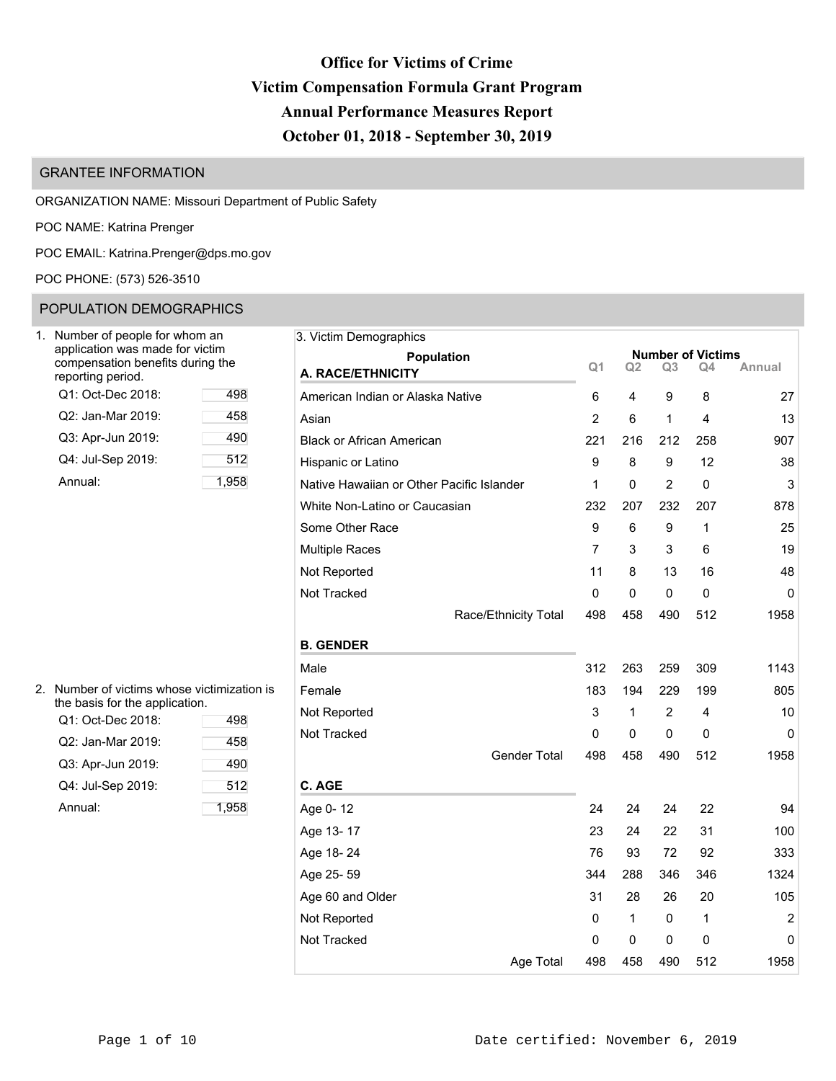# **Office for Victims of Crime Victim Compensation Formula Grant Program Annual Performance Measures Report October 01, 2018 - September 30, 2019**

# GRANTEE INFORMATION

ORGANIZATION NAME: Missouri Department of Public Safety

POC NAME: Katrina Prenger

POC EMAIL: [Katrina.Prenger@dps.mo.gov](mailto:Katrina.Prenger@dps.mo.gov)

POC PHONE: (573) 526-3510

## POPULATION DEMOGRAPHICS

| Number of people for whom an<br>application was made for victim<br>compensation benefits during the<br>reporting period. |       |  |  |  |
|--------------------------------------------------------------------------------------------------------------------------|-------|--|--|--|
| Q1: Oct-Dec 2018:                                                                                                        | 498   |  |  |  |
| Q2: Jan-Mar 2019:                                                                                                        | 458   |  |  |  |
| Q3: Apr-Jun 2019:                                                                                                        | 490   |  |  |  |
| Q4: Jul-Sep 2019:                                                                                                        | 512   |  |  |  |
| Annual:                                                                                                                  | 1.958 |  |  |  |

| 3. Victim Demographics                    |                |                |                |                          |             |
|-------------------------------------------|----------------|----------------|----------------|--------------------------|-------------|
| Population                                |                |                |                | <b>Number of Victims</b> |             |
| A. RACE/ETHNICITY                         | Q <sub>1</sub> | Q <sub>2</sub> | Q <sub>3</sub> | Q4                       | Annual      |
| American Indian or Alaska Native          | 6              | 4              | 9              | 8                        | 27          |
| Asian                                     | $\overline{2}$ | 6              | 1              | 4                        | 13          |
| <b>Black or African American</b>          | 221            | 216            | 212            | 258                      | 907         |
| Hispanic or Latino                        | 9              | 8              | 9              | 12                       | 38          |
| Native Hawaiian or Other Pacific Islander | 1              | $\mathbf 0$    | $\overline{2}$ | $\mathbf 0$              | 3           |
| White Non-Latino or Caucasian             | 232            | 207            | 232            | 207                      | 878         |
| Some Other Race                           | 9              | 6              | 9              | 1                        | 25          |
| <b>Multiple Races</b>                     | $\overline{7}$ | 3              | 3              | 6                        | 19          |
| Not Reported                              | 11             | 8              | 13             | 16                       | 48          |
| Not Tracked                               | 0              | 0              | 0              | 0                        | $\mathbf 0$ |
| Race/Ethnicity Total                      | 498            | 458            | 490            | 512                      | 1958        |
| <b>B. GENDER</b>                          |                |                |                |                          |             |
| Male                                      | 312            | 263            | 259            | 309                      | 1143        |
| Female                                    | 183            | 194            | 229            | 199                      | 805         |
| Not Reported                              | 3              | 1              | 2              | 4                        | 10          |
| Not Tracked                               | 0              | 0              | $\mathbf 0$    | 0                        | 0           |
| <b>Gender Total</b>                       | 498            | 458            | 490            | 512                      | 1958        |
| C. AGE                                    |                |                |                |                          |             |
| Age 0-12                                  | 24             | 24             | 24             | 22                       | 94          |
| Age 13-17                                 | 23             | 24             | 22             | 31                       | 100         |
| Age 18-24                                 | 76             | 93             | 72             | 92                       | 333         |
| Age 25-59                                 | 344            | 288            | 346            | 346                      | 1324        |
| Age 60 and Older                          | 31             | 28             | 26             | 20                       | 105         |
| Not Reported                              | 0              | 1              | 0              | 1                        | 2           |
| Not Tracked                               | 0              | 0              | 0              | 0                        | 0           |
| Age Total                                 | 498            | 458            | 490            | 512                      | 1958        |

| 2. Number of victims whose victimization is |
|---------------------------------------------|
| the basis for the application.              |

| Q1: Oct-Dec 2018: | 498   |
|-------------------|-------|
| Q2: Jan-Mar 2019: | 458   |
| Q3: Apr-Jun 2019: | 490   |
| Q4: Jul-Sep 2019: | 512   |
| Annual:           | 1,958 |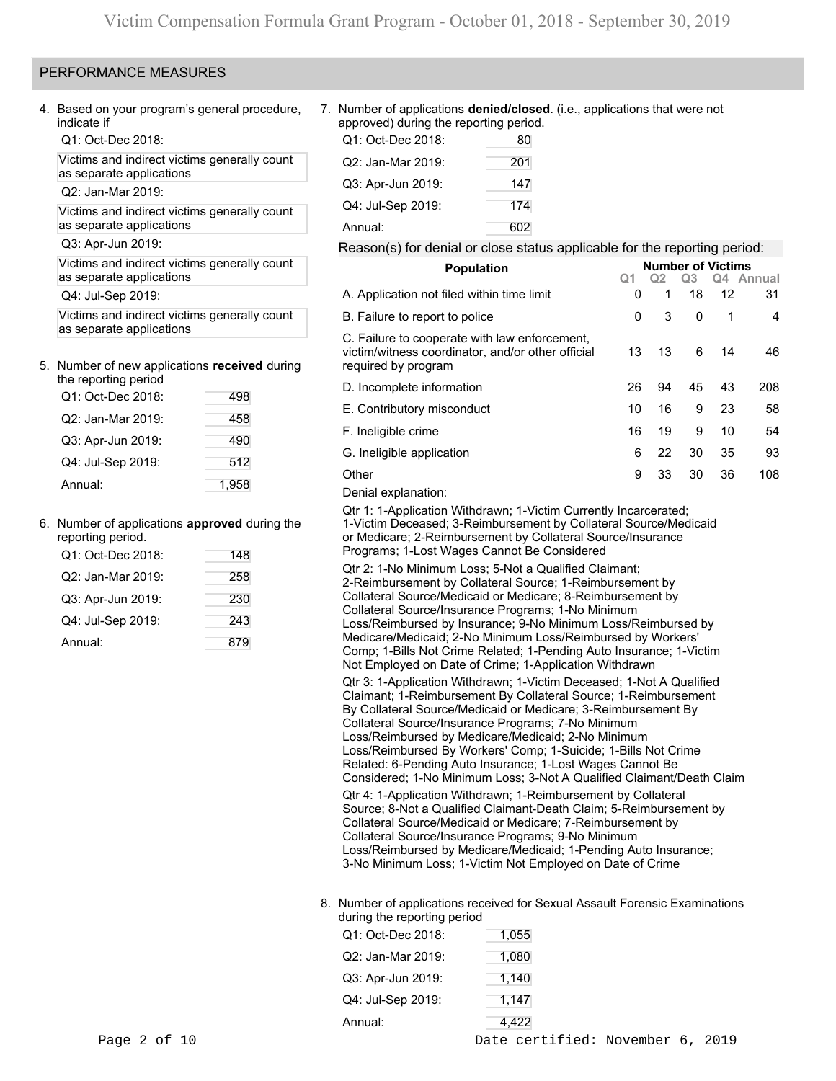### PERFORMANCE MEASURES

4. Based on your program's general procedure, indicate if

Q1: Oct-Dec 2018:

Victims and indirect victims generally count as separate applications

Q2: Jan-Mar 2019:

Victims and indirect victims generally count as separate applications

Q3: Apr-Jun 2019:

Victims and indirect victims generally count as separate applications

Q4: Jul-Sep 2019:

Victims and indirect victims generally count as separate applications

# 5. Number of new applications **received** during

| the reporting period |       |
|----------------------|-------|
| Q1: Oct-Dec 2018:    | 498   |
| Q2: Jan-Mar 2019:    | 458   |
| Q3: Apr-Jun 2019:    | 490   |
| Q4: Jul-Sep 2019:    | 512   |
| Annual:              | 1.958 |

### 6. Number of applications **approved** during the

| reporting period. |     |
|-------------------|-----|
| Q1: Oct-Dec 2018: | 148 |
| Q2: Jan-Mar 2019: | 258 |
| Q3: Apr-Jun 2019: | 230 |
| Q4: Jul-Sep 2019: | 243 |
| Annual:           | 879 |

7. Number of applications **denied/closed**. (i.e., applications that were not approved) during the reporting period.

| Q1: Oct-Dec 2018: | 80  |
|-------------------|-----|
| Q2: Jan-Mar 2019: | 201 |
| Q3: Apr-Jun 2019: | 147 |
| Q4: Jul-Sep 2019: | 174 |
| Annual:           | 602 |

### Reason(s) for denial or close status applicable for the reporting period:

| <b>Population</b>                                                                                                         |    | <b>Number of Victims</b> |    |    |           |  |  |  |
|---------------------------------------------------------------------------------------------------------------------------|----|--------------------------|----|----|-----------|--|--|--|
|                                                                                                                           | Q1 | Q <sub>2</sub>           | Q3 |    | Q4 Annual |  |  |  |
| A. Application not filed within time limit                                                                                | 0  | 1                        | 18 | 12 | 31        |  |  |  |
| B. Failure to report to police                                                                                            | 0  | 3                        | 0  | 1  | 4         |  |  |  |
| C. Failure to cooperate with law enforcement,<br>victim/witness coordinator, and/or other official<br>required by program | 13 | 13                       | 6  | 14 | 46        |  |  |  |
| D. Incomplete information                                                                                                 | 26 | 94                       | 45 | 43 | 208       |  |  |  |
| E. Contributory misconduct                                                                                                | 10 | 16                       | 9  | 23 | 58        |  |  |  |
| F. Ineligible crime                                                                                                       | 16 | 19                       | 9  | 10 | 54        |  |  |  |
| G. Ineligible application                                                                                                 | 6  | 22                       | 30 | 35 | 93        |  |  |  |
| Other                                                                                                                     | 9  | 33                       | 30 | 36 | 108       |  |  |  |
| Donial ovalonation:                                                                                                       |    |                          |    |    |           |  |  |  |

Denial explanation:

Qtr 1: 1-Application Withdrawn; 1-Victim Currently Incarcerated; 1-Victim Deceased; 3-Reimbursement by Collateral Source/Medicaid or Medicare; 2-Reimbursement by Collateral Source/Insurance Programs; 1-Lost Wages Cannot Be Considered

Qtr 2: 1-No Minimum Loss; 5-Not a Qualified Claimant; 2-Reimbursement by Collateral Source; 1-Reimbursement by Collateral Source/Medicaid or Medicare; 8-Reimbursement by Collateral Source/Insurance Programs; 1-No Minimum Loss/Reimbursed by Insurance; 9-No Minimum Loss/Reimbursed by Medicare/Medicaid; 2-No Minimum Loss/Reimbursed by Workers' Comp; 1-Bills Not Crime Related; 1-Pending Auto Insurance; 1-Victim Not Employed on Date of Crime; 1-Application Withdrawn

Qtr 3: 1-Application Withdrawn; 1-Victim Deceased; 1-Not A Qualified Claimant; 1-Reimbursement By Collateral Source; 1-Reimbursement By Collateral Source/Medicaid or Medicare; 3-Reimbursement By Collateral Source/Insurance Programs; 7-No Minimum Loss/Reimbursed by Medicare/Medicaid; 2-No Minimum Loss/Reimbursed By Workers' Comp; 1-Suicide; 1-Bills Not Crime Related: 6-Pending Auto Insurance; 1-Lost Wages Cannot Be Considered; 1-No Minimum Loss; 3-Not A Qualified Claimant/Death Claim Qtr 4: 1-Application Withdrawn; 1-Reimbursement by Collateral Source; 8-Not a Qualified Claimant-Death Claim; 5-Reimbursement by Collateral Source/Medicaid or Medicare; 7-Reimbursement by Collateral Source/Insurance Programs; 9-No Minimum Loss/Reimbursed by Medicare/Medicaid; 1-Pending Auto Insurance; 3-No Minimum Loss; 1-Victim Not Employed on Date of Crime

### 8. Number of applications received for Sexual Assault Forensic Examinations during the reporting period

| Annual:           | 4,422 |  |  |  |
|-------------------|-------|--|--|--|
| Q4: Jul-Sep 2019: | 1,147 |  |  |  |
| Q3: Apr-Jun 2019: | 1,140 |  |  |  |
| Q2: Jan-Mar 2019: | 1,080 |  |  |  |
| Q1: Oct-Dec 2018: | 1,055 |  |  |  |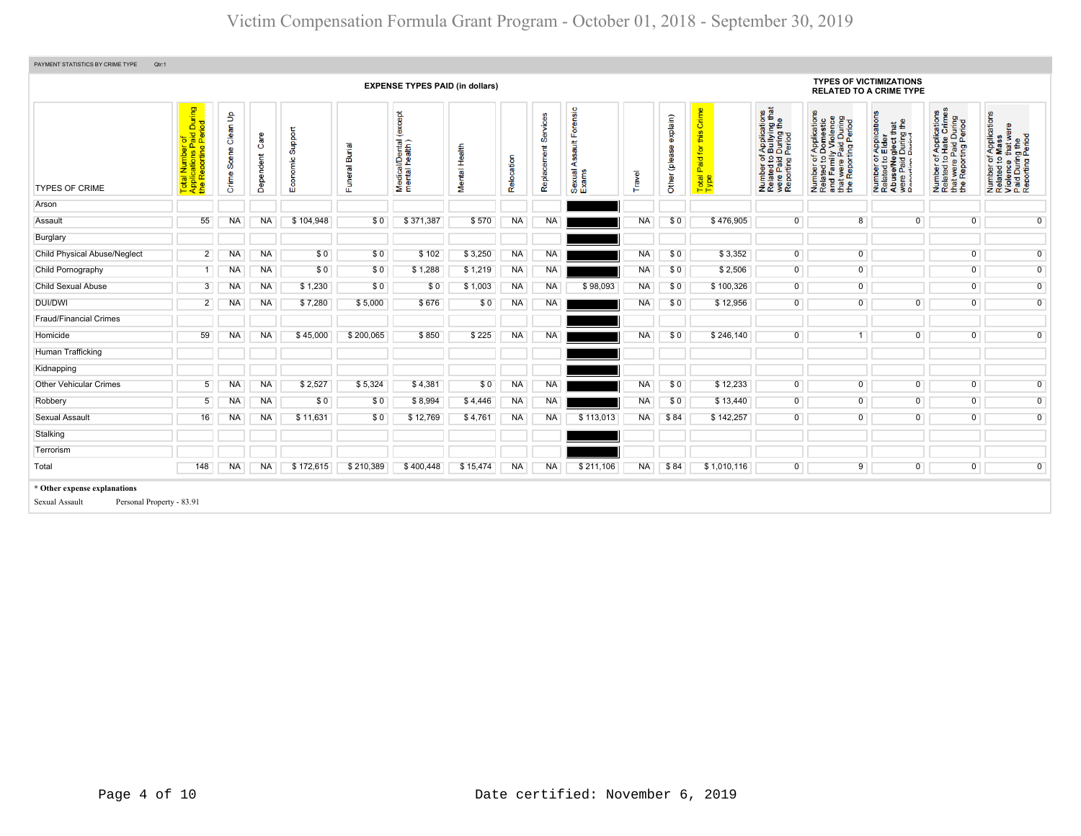| PAYMENT STATISTICS BY CRIME TYPE<br>Qtr:1                                   |                                                                                                   |                            |                      |                         |                                                      |                                            |               |            |                         |                                              |           |                           |                                                                                      |                                                                                                                                    |                                                                                                                       |                                                                                                                                                     |                                                                                                                  |                                                                                                        |
|-----------------------------------------------------------------------------|---------------------------------------------------------------------------------------------------|----------------------------|----------------------|-------------------------|------------------------------------------------------|--------------------------------------------|---------------|------------|-------------------------|----------------------------------------------|-----------|---------------------------|--------------------------------------------------------------------------------------|------------------------------------------------------------------------------------------------------------------------------------|-----------------------------------------------------------------------------------------------------------------------|-----------------------------------------------------------------------------------------------------------------------------------------------------|------------------------------------------------------------------------------------------------------------------|--------------------------------------------------------------------------------------------------------|
|                                                                             |                                                                                                   |                            |                      |                         |                                                      | <b>EXPENSE TYPES PAID (in dollars)</b>     |               |            |                         |                                              |           |                           |                                                                                      |                                                                                                                                    | <b>TYPES OF VICTIMIZATIONS</b><br><b>RELATED TO A CRIME TYPE</b>                                                      |                                                                                                                                                     |                                                                                                                  |                                                                                                        |
| <b>TYPES OF CRIME</b>                                                       | During<br>riod<br>al Number of<br>plications Paid I<br>Reporting Peri<br>Total<br>Applic<br>the R | Clean Up<br>Scene<br>Crime | Ő<br>indent<br>Deper | Support<br>conomic<br>ш | <b>Burial</b><br>$\overline{\mathfrak{a}}$<br>Ŝ<br>ш | except<br>Medical/Dental<br>mental health) | Mental Health | Relocation | Services<br>Replacement | ensic<br>ਨ<br>ш<br>ã<br>⋖<br>Sexual<br>Exams | Travel    | explain)<br>Other (please | Crime<br>this<br>$\overline{\mathbf{p}}$<br>isia <sup>-</sup><br>Œ.<br>Total<br>Type | ther of Applications<br>ted to Bullying that<br>a Paid During the<br>orting Period<br>Number<br>Related t<br>were Pai<br>Reporting | Number of Applications<br>Related to Domestic<br>and Family Violence<br>that were Paid During<br>the Reporting Period | T Applications<br>b Elder<br>eglect that<br>I During the<br>Period<br>Number of <i>A</i><br>Related to E<br>Abuse/Neg<br>were Paid L<br>Renorting P | r of Applications<br>I to Hate Crimes<br>were Paid During<br>Reporting Period<br>Number<br>Related t<br>est<br># | Number of Applications<br>Related to Mass<br>Violence that were<br>Paid During the<br>Reporting Period |
| Arson                                                                       |                                                                                                   |                            |                      |                         |                                                      |                                            |               |            |                         |                                              |           |                           |                                                                                      |                                                                                                                                    |                                                                                                                       |                                                                                                                                                     |                                                                                                                  |                                                                                                        |
| Assault                                                                     | 55                                                                                                | NA                         | <b>NA</b>            | \$104,948               | \$0                                                  | \$371,387                                  | \$570         | <b>NA</b>  | <b>NA</b>               |                                              | NA        | \$0                       | \$476,905                                                                            | $\overline{0}$                                                                                                                     | 8                                                                                                                     | $\overline{0}$                                                                                                                                      | $\overline{0}$                                                                                                   | $\overline{0}$                                                                                         |
| Burglary                                                                    |                                                                                                   |                            |                      |                         |                                                      |                                            |               |            |                         |                                              |           |                           |                                                                                      |                                                                                                                                    |                                                                                                                       |                                                                                                                                                     |                                                                                                                  |                                                                                                        |
| <b>Child Physical Abuse/Neglect</b>                                         | 2 <sup>1</sup>                                                                                    | <b>NA</b>                  | <b>NA</b>            | \$0                     | \$0                                                  | \$102                                      | \$3,250       | <b>NA</b>  | <b>NA</b>               |                                              | NA        | \$0                       | \$3,352                                                                              | $\overline{0}$                                                                                                                     | $\overline{0}$                                                                                                        |                                                                                                                                                     | $\overline{0}$                                                                                                   | $\overline{0}$                                                                                         |
| Child Pornography                                                           | 1 <sup>1</sup>                                                                                    | <b>NA</b>                  | <b>NA</b>            | \$0                     | \$0                                                  | \$1,288                                    | \$1,219       | <b>NA</b>  | <b>NA</b>               |                                              | <b>NA</b> | \$0                       | \$2,506                                                                              | $\overline{0}$                                                                                                                     | $\overline{0}$                                                                                                        |                                                                                                                                                     | $\overline{0}$                                                                                                   | $\overline{0}$                                                                                         |
| <b>Child Sexual Abuse</b>                                                   | 3 <sup>1</sup>                                                                                    | NA                         | <b>NA</b>            | \$1,230                 | \$0                                                  | \$0                                        | \$1,003       | <b>NA</b>  | <b>NA</b>               | \$98,093                                     | <b>NA</b> | \$0                       | \$100,326                                                                            | $\overline{0}$                                                                                                                     | $\overline{0}$                                                                                                        |                                                                                                                                                     | $\overline{0}$                                                                                                   | $\overline{0}$                                                                                         |
| <b>DUI/DWI</b>                                                              | 2 <sub>1</sub>                                                                                    | NA                         | <b>NA</b>            | \$7,280                 | \$5,000                                              | \$676                                      | \$0           | <b>NA</b>  | <b>NA</b>               |                                              | <b>NA</b> | \$0                       | \$12,956                                                                             | $\overline{0}$                                                                                                                     | $\overline{0}$                                                                                                        | $\overline{0}$                                                                                                                                      | $\overline{0}$                                                                                                   | $\overline{0}$                                                                                         |
| <b>Fraud/Financial Crimes</b>                                               |                                                                                                   |                            |                      |                         |                                                      |                                            |               |            |                         |                                              |           |                           |                                                                                      |                                                                                                                                    |                                                                                                                       |                                                                                                                                                     |                                                                                                                  |                                                                                                        |
| Homicide                                                                    | 59                                                                                                | NA                         | <b>NA</b>            | \$45,000                | \$200,065                                            | \$850                                      | \$225         | <b>NA</b>  | <b>NA</b>               |                                              | NA        | \$0                       | \$246,140                                                                            | $\overline{0}$                                                                                                                     |                                                                                                                       | $\overline{0}$                                                                                                                                      | $\overline{0}$                                                                                                   | $\overline{0}$                                                                                         |
| Human Trafficking                                                           |                                                                                                   |                            |                      |                         |                                                      |                                            |               |            |                         |                                              |           |                           |                                                                                      |                                                                                                                                    |                                                                                                                       |                                                                                                                                                     |                                                                                                                  |                                                                                                        |
| Kidnapping                                                                  |                                                                                                   |                            |                      |                         |                                                      |                                            |               |            |                         |                                              |           |                           |                                                                                      |                                                                                                                                    |                                                                                                                       |                                                                                                                                                     |                                                                                                                  |                                                                                                        |
| <b>Other Vehicular Crimes</b>                                               | 5 <sup>1</sup>                                                                                    | <b>NA</b>                  | <b>NA</b>            | \$2,527                 | \$5,324                                              | \$4,381                                    | \$0           | <b>NA</b>  | <b>NA</b>               |                                              | <b>NA</b> | \$0                       | \$12,233                                                                             | $\overline{0}$                                                                                                                     | $\Omega$                                                                                                              | $\overline{0}$                                                                                                                                      | $\overline{0}$                                                                                                   | $\overline{0}$                                                                                         |
| Robbery                                                                     | 5 <sup>1</sup>                                                                                    | NA                         | <b>NA</b>            | \$0                     | \$0                                                  | \$8,994                                    | \$4,446       | <b>NA</b>  | <b>NA</b>               |                                              | NA        | \$0                       | \$13,440                                                                             | $\overline{0}$                                                                                                                     | $\overline{0}$                                                                                                        | $\overline{0}$                                                                                                                                      | $\overline{0}$                                                                                                   | $\overline{0}$                                                                                         |
| Sexual Assault                                                              | 16                                                                                                | <b>NA</b>                  | <b>NA</b>            | \$11,631                | \$0                                                  | \$12,769                                   | \$4,761       | <b>NA</b>  | <b>NA</b>               | \$113,013                                    | <b>NA</b> | \$84                      | \$142,257                                                                            | $\overline{0}$                                                                                                                     | $\overline{0}$                                                                                                        | $\overline{0}$                                                                                                                                      | $\overline{0}$                                                                                                   | $\overline{0}$                                                                                         |
| Stalking                                                                    |                                                                                                   |                            |                      |                         |                                                      |                                            |               |            |                         |                                              |           |                           |                                                                                      |                                                                                                                                    |                                                                                                                       |                                                                                                                                                     |                                                                                                                  |                                                                                                        |
| Terrorism                                                                   |                                                                                                   |                            |                      |                         |                                                      |                                            |               |            |                         |                                              |           |                           |                                                                                      |                                                                                                                                    |                                                                                                                       |                                                                                                                                                     |                                                                                                                  |                                                                                                        |
| Total                                                                       | 148                                                                                               | <b>NA</b>                  | <b>NA</b>            | \$172,615               | \$210,389                                            | \$400,448                                  | \$15,474      | <b>NA</b>  | <b>NA</b>               | \$211,106                                    | <b>NA</b> | \$84                      | \$1,010,116                                                                          | $\overline{0}$                                                                                                                     | 9                                                                                                                     | $\overline{0}$                                                                                                                                      | $\overline{0}$                                                                                                   | $\overline{0}$                                                                                         |
| * Other expense explanations<br>Personal Property - 83.91<br>Sexual Assault |                                                                                                   |                            |                      |                         |                                                      |                                            |               |            |                         |                                              |           |                           |                                                                                      |                                                                                                                                    |                                                                                                                       |                                                                                                                                                     |                                                                                                                  |                                                                                                        |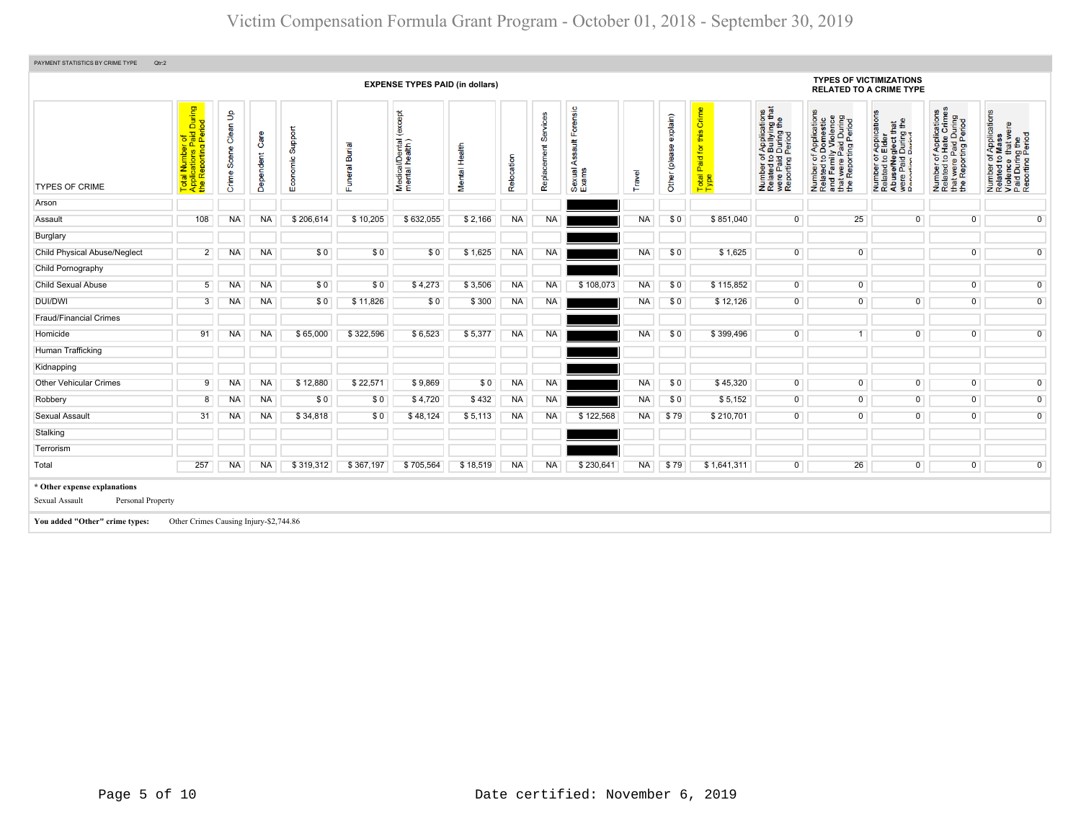| PAYMENT STATISTICS BY CRIME TYPE<br>Qtr:2                           |                                                                                                                    |                                         |                         |                                    |                           |                                              |               |                 |                            |                                                   |           |                              |                                                                                |                                                                                                                                         |                                                                                                                       |                                                                                                                                               |                                                                                                                                                           |                                                                                                        |
|---------------------------------------------------------------------|--------------------------------------------------------------------------------------------------------------------|-----------------------------------------|-------------------------|------------------------------------|---------------------------|----------------------------------------------|---------------|-----------------|----------------------------|---------------------------------------------------|-----------|------------------------------|--------------------------------------------------------------------------------|-----------------------------------------------------------------------------------------------------------------------------------------|-----------------------------------------------------------------------------------------------------------------------|-----------------------------------------------------------------------------------------------------------------------------------------------|-----------------------------------------------------------------------------------------------------------------------------------------------------------|--------------------------------------------------------------------------------------------------------|
|                                                                     |                                                                                                                    |                                         |                         |                                    |                           | <b>EXPENSE TYPES PAID (in dollars)</b>       |               |                 |                            |                                                   |           |                              |                                                                                |                                                                                                                                         |                                                                                                                       | <b>TYPES OF VICTIMIZATIONS</b><br><b>RELATED TO A CRIME TYPE</b>                                                                              |                                                                                                                                                           |                                                                                                        |
| <b>TYPES OF CRIME</b>                                               | During<br>iod<br>$\overline{\mathbf{p}}$<br><b>Pa</b><br>ting<br>றி.<br>Total Numb<br>Applications<br>the Reportin | $\mathbf{e}$<br>Clean<br>Scene<br>Crime | ပ<br>endent<br>Dep<br>O | Support<br>nomic<br>$\overline{E}$ | ल<br>മ്<br>eral<br>s<br>ш | except<br>Medical/Dental (<br>mental health) | Mental Health | cation<br>Relor | vices<br>ශී<br>Replacement | Forensic<br>$\frac{4}{3}$<br>⋖<br>Sexual<br>Exams | Travel    | explain)<br>(please<br>Other | Crime<br>this<br>$\overline{\mathsf{p}}$<br>Paid <sup>+</sup><br>Total<br>Type | rf Applications<br>b Bullying that<br>I During the<br>Period<br>Number of <i>I</i><br>Related to <b>B</b><br>were Paid L<br>Reporting P | Number of Applications<br>Related to Domestic<br>and Family Violence<br>that were Paid During<br>the Reporting Period | T Applications<br>b Elder<br>glect that<br>During the<br>Number of <i>I</i><br>Related to <b>E</b><br>Abuse/Neg<br>were Paid L<br>Renorting P | f Applications<br>Hate Crimes<br>Paid During<br>ing Period<br>Paid<br>ting f<br>$\frac{1}{6}$<br>t were<br>Report<br>Number<br>Related 1<br>$\frac{1}{2}$ | Number of Applications<br>Related to Mass<br>Violence that were<br>Paid During the<br>Reporting Period |
| Arson                                                               |                                                                                                                    |                                         |                         |                                    |                           |                                              |               |                 |                            |                                                   |           |                              |                                                                                |                                                                                                                                         |                                                                                                                       |                                                                                                                                               |                                                                                                                                                           |                                                                                                        |
| Assault                                                             | 108                                                                                                                | <b>NA</b>                               | <b>NA</b>               | \$206,614                          | \$10,205                  | \$632,055                                    | \$2,166       | <b>NA</b>       | <b>NA</b>                  |                                                   | NA        | \$0                          | \$851,040                                                                      | $\overline{0}$                                                                                                                          | 25                                                                                                                    | $\overline{0}$                                                                                                                                | $\mathbf 0$                                                                                                                                               | $\overline{0}$                                                                                         |
| Burglary                                                            |                                                                                                                    |                                         |                         |                                    |                           |                                              |               |                 |                            |                                                   |           |                              |                                                                                |                                                                                                                                         |                                                                                                                       |                                                                                                                                               |                                                                                                                                                           |                                                                                                        |
| <b>Child Physical Abuse/Neglect</b>                                 | 2 <sup>1</sup>                                                                                                     | <b>NA</b>                               | <b>NA</b>               | \$0                                | \$0                       | \$0                                          | \$1,625       | <b>NA</b>       | <b>NA</b>                  |                                                   | <b>NA</b> | \$0                          | \$1,625                                                                        | $\overline{0}$                                                                                                                          | $\overline{0}$                                                                                                        |                                                                                                                                               | $\mathbf 0$                                                                                                                                               | $\overline{0}$                                                                                         |
| Child Pornography                                                   |                                                                                                                    |                                         |                         |                                    |                           |                                              |               |                 |                            |                                                   |           |                              |                                                                                |                                                                                                                                         |                                                                                                                       |                                                                                                                                               |                                                                                                                                                           |                                                                                                        |
| <b>Child Sexual Abuse</b>                                           | 5 <sup>1</sup>                                                                                                     | <b>NA</b>                               | <b>NA</b>               | \$0                                | \$0                       | \$4,273                                      | \$3,506       | <b>NA</b>       | <b>NA</b>                  | \$108,073                                         | <b>NA</b> | \$0                          | \$115,852                                                                      | $\overline{0}$                                                                                                                          | $\overline{0}$                                                                                                        |                                                                                                                                               | $\overline{0}$                                                                                                                                            | $\overline{0}$                                                                                         |
| <b>DUI/DWI</b>                                                      | 3 <sup>1</sup>                                                                                                     | <b>NA</b>                               | <b>NA</b>               | \$0                                | \$11,826                  | \$0                                          | \$300         | <b>NA</b>       | <b>NA</b>                  |                                                   | <b>NA</b> | \$0                          | \$12,126                                                                       | $\overline{0}$                                                                                                                          | $\overline{0}$                                                                                                        | $\overline{0}$                                                                                                                                | $\overline{0}$                                                                                                                                            | $\overline{0}$                                                                                         |
| <b>Fraud/Financial Crimes</b>                                       |                                                                                                                    |                                         |                         |                                    |                           |                                              |               |                 |                            |                                                   |           |                              |                                                                                |                                                                                                                                         |                                                                                                                       |                                                                                                                                               |                                                                                                                                                           |                                                                                                        |
| Homicide                                                            | 91                                                                                                                 | <b>NA</b>                               | <b>NA</b>               | \$65,000                           | \$322,596                 | \$6,523                                      | \$5,377       | <b>NA</b>       | <b>NA</b>                  |                                                   | <b>NA</b> | \$0                          | \$399,496                                                                      | $\overline{0}$                                                                                                                          | 1                                                                                                                     | $\overline{0}$                                                                                                                                | $\overline{0}$                                                                                                                                            | $\overline{0}$                                                                                         |
| Human Trafficking                                                   |                                                                                                                    |                                         |                         |                                    |                           |                                              |               |                 |                            |                                                   |           |                              |                                                                                |                                                                                                                                         |                                                                                                                       |                                                                                                                                               |                                                                                                                                                           |                                                                                                        |
| Kidnapping                                                          |                                                                                                                    |                                         |                         |                                    |                           |                                              |               |                 |                            |                                                   |           |                              |                                                                                |                                                                                                                                         |                                                                                                                       |                                                                                                                                               |                                                                                                                                                           |                                                                                                        |
| <b>Other Vehicular Crimes</b>                                       | 9 <sup>1</sup>                                                                                                     | <b>NA</b>                               | <b>NA</b>               | \$12,880                           | \$22,571                  | \$9,869                                      | \$0           | <b>NA</b>       | <b>NA</b>                  |                                                   | <b>NA</b> | \$0                          | \$45,320                                                                       | $\overline{0}$                                                                                                                          | $\overline{0}$                                                                                                        | $\overline{0}$                                                                                                                                | $\mathbf 0$                                                                                                                                               | $\mathbf 0$                                                                                            |
| Robbery                                                             | 8                                                                                                                  | NA                                      | <b>NA</b>               | \$0                                | \$0                       | \$4,720                                      | \$432         | <b>NA</b>       | <b>NA</b>                  |                                                   | <b>NA</b> | \$0                          | \$5,152                                                                        | $\overline{0}$                                                                                                                          | $\overline{0}$                                                                                                        | $\overline{0}$                                                                                                                                | $\overline{0}$                                                                                                                                            | $\overline{0}$                                                                                         |
| <b>Sexual Assault</b>                                               | 31                                                                                                                 | NA                                      | <b>NA</b>               | \$34,818                           | \$0                       | \$48,124                                     | \$5,113       | <b>NA</b>       | <b>NA</b>                  | \$122,568                                         | <b>NA</b> | \$79                         | \$210,701                                                                      | $\overline{0}$                                                                                                                          | $\overline{0}$                                                                                                        | $\mathbf{0}$                                                                                                                                  | $\mathbf 0$                                                                                                                                               | $\overline{0}$                                                                                         |
| Stalking                                                            |                                                                                                                    |                                         |                         |                                    |                           |                                              |               |                 |                            |                                                   |           |                              |                                                                                |                                                                                                                                         |                                                                                                                       |                                                                                                                                               |                                                                                                                                                           |                                                                                                        |
| Terrorism                                                           |                                                                                                                    |                                         |                         |                                    |                           |                                              |               |                 |                            |                                                   |           |                              |                                                                                |                                                                                                                                         |                                                                                                                       |                                                                                                                                               |                                                                                                                                                           |                                                                                                        |
| Total                                                               | 257                                                                                                                | NA                                      | <b>NA</b>               | \$319,312                          | \$367,197                 | \$705,564                                    | \$18,519      | <b>NA</b>       | <b>NA</b>                  | \$230,641                                         | <b>NA</b> | \$79                         | \$1,641,311                                                                    | $\overline{0}$                                                                                                                          | 26                                                                                                                    | $\overline{0}$                                                                                                                                | $\mathbf 0$                                                                                                                                               | $\overline{0}$                                                                                         |
| * Other expense explanations<br>Sexual Assault<br>Personal Property |                                                                                                                    |                                         |                         |                                    |                           |                                              |               |                 |                            |                                                   |           |                              |                                                                                |                                                                                                                                         |                                                                                                                       |                                                                                                                                               |                                                                                                                                                           |                                                                                                        |
| You added "Other" crime types:                                      | Other Crimes Causing Injury-\$2,744.86                                                                             |                                         |                         |                                    |                           |                                              |               |                 |                            |                                                   |           |                              |                                                                                |                                                                                                                                         |                                                                                                                       |                                                                                                                                               |                                                                                                                                                           |                                                                                                        |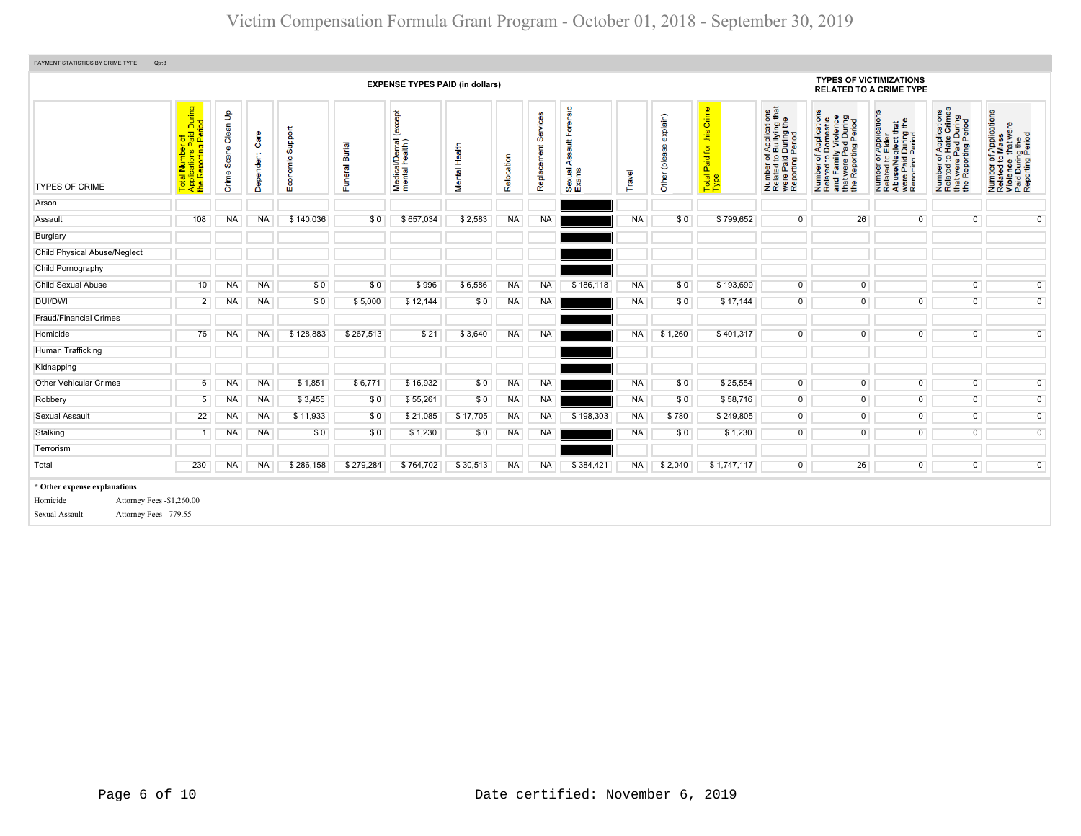| PAYMENT STATISTICS BY CRIME TYPE<br>Qtr:3                                                                          |                                                                     |                      |                   |                     |                |                                              |               |            |                         |                                            |           |                           |                                                            |                                                                                                                          |                                                                                                                       |                                                                                                                                            |                                                                                                   |                                                                                                        |
|--------------------------------------------------------------------------------------------------------------------|---------------------------------------------------------------------|----------------------|-------------------|---------------------|----------------|----------------------------------------------|---------------|------------|-------------------------|--------------------------------------------|-----------|---------------------------|------------------------------------------------------------|--------------------------------------------------------------------------------------------------------------------------|-----------------------------------------------------------------------------------------------------------------------|--------------------------------------------------------------------------------------------------------------------------------------------|---------------------------------------------------------------------------------------------------|--------------------------------------------------------------------------------------------------------|
|                                                                                                                    |                                                                     |                      |                   |                     |                | <b>EXPENSE TYPES PAID (in dollars)</b>       |               |            |                         |                                            |           |                           |                                                            |                                                                                                                          | <b>TYPES OF VICTIMIZATIONS</b>                                                                                        | <b>RELATED TO A CRIME TYPE</b>                                                                                                             |                                                                                                   |                                                                                                        |
| <b>TYPES OF CRIME</b>                                                                                              | Total Number of<br>Applications Paid During<br>the Reporting Period | Crime Scene Clean Up | Care<br>Dependent | Support<br>Economic | Funeral Burial | except<br>Medical/Dental (<br>mental health) | Mental Health | Relocation | Services<br>Replacement | Forensic<br>ssault<br>⋖<br>Sexual<br>Exams | Travel    | exp(ain)<br>Other (please | Crime<br>this<br>for<br>Paid <sup>1</sup><br>Total<br>Type | f Applications<br>b Bullying that<br>I During the<br>Period<br>Number of A<br>Related to B<br>were Paid D<br>Reporting P | Number of Applications<br>Related to Domestic<br>and Family Violence<br>that were Paid During<br>the Reporting Period | T Applications<br>b Elder<br>aglect that<br>I During the<br>Period<br>Number of<br>Related to I<br>Abuse/Neg<br>were Paid I<br>Reporting R | Number of Applications<br>Related to Hate Crimes<br>that were Paid During<br>the Reporting Period | Number of Applications<br>Related to Mass<br>Violence that were<br>Paid During the<br>Reporting Period |
| Arson                                                                                                              |                                                                     |                      |                   |                     |                |                                              |               |            |                         |                                            |           |                           |                                                            |                                                                                                                          |                                                                                                                       |                                                                                                                                            |                                                                                                   |                                                                                                        |
| Assault                                                                                                            | 108                                                                 | NA                   | <b>NA</b>         | \$140,036           | \$0            | \$657,034                                    | \$2,583       | <b>NA</b>  | <b>NA</b>               |                                            | <b>NA</b> | \$0                       | \$799,652                                                  | $\overline{0}$                                                                                                           | 26                                                                                                                    | $\overline{0}$                                                                                                                             | $\mathbf 0$                                                                                       | $\overline{0}$                                                                                         |
| Burglary                                                                                                           |                                                                     |                      |                   |                     |                |                                              |               |            |                         |                                            |           |                           |                                                            |                                                                                                                          |                                                                                                                       |                                                                                                                                            |                                                                                                   |                                                                                                        |
| <b>Child Physical Abuse/Neglect</b>                                                                                |                                                                     |                      |                   |                     |                |                                              |               |            |                         |                                            |           |                           |                                                            |                                                                                                                          |                                                                                                                       |                                                                                                                                            |                                                                                                   |                                                                                                        |
| Child Pornography                                                                                                  |                                                                     |                      |                   |                     |                |                                              |               |            |                         |                                            |           |                           |                                                            |                                                                                                                          |                                                                                                                       |                                                                                                                                            |                                                                                                   |                                                                                                        |
| Child Sexual Abuse                                                                                                 | 10                                                                  | NA                   | <b>NA</b>         | \$0                 | \$0            | \$996                                        | \$6,586       | <b>NA</b>  | NA                      | \$186,118                                  | <b>NA</b> | \$0                       | \$193,699                                                  | $\overline{0}$                                                                                                           | $\overline{0}$                                                                                                        |                                                                                                                                            | $\mathbf 0$                                                                                       | $\overline{0}$                                                                                         |
| <b>DUI/DWI</b>                                                                                                     | $\overline{2}$                                                      | NA                   | <b>NA</b>         | \$0                 | \$5,000        | \$12,144                                     | \$0           | <b>NA</b>  | <b>NA</b>               |                                            | <b>NA</b> | \$0                       | \$17,144                                                   | $\overline{0}$                                                                                                           | $\overline{0}$                                                                                                        | $\overline{0}$                                                                                                                             | $\mathbf 0$                                                                                       | $\overline{0}$                                                                                         |
| <b>Fraud/Financial Crimes</b>                                                                                      |                                                                     |                      |                   |                     |                |                                              |               |            |                         |                                            |           |                           |                                                            |                                                                                                                          |                                                                                                                       |                                                                                                                                            |                                                                                                   |                                                                                                        |
| Homicide                                                                                                           | 76                                                                  | NA                   | <b>NA</b>         | \$128.883           | \$267,513      | \$21                                         | \$3,640       | <b>NA</b>  | <b>NA</b>               |                                            | <b>NA</b> | \$1,260                   | \$401,317                                                  | $\overline{0}$                                                                                                           | $\overline{0}$                                                                                                        | $\overline{0}$                                                                                                                             | $\overline{0}$                                                                                    | $\overline{0}$                                                                                         |
| Human Trafficking                                                                                                  |                                                                     |                      |                   |                     |                |                                              |               |            |                         |                                            |           |                           |                                                            |                                                                                                                          |                                                                                                                       |                                                                                                                                            |                                                                                                   |                                                                                                        |
| Kidnapping                                                                                                         |                                                                     |                      |                   |                     |                |                                              |               |            |                         |                                            |           |                           |                                                            |                                                                                                                          |                                                                                                                       |                                                                                                                                            |                                                                                                   |                                                                                                        |
| <b>Other Vehicular Crimes</b>                                                                                      | 6                                                                   | NA                   | <b>NA</b>         | \$1,851             | \$6,771        | \$16,932                                     | \$0           | <b>NA</b>  | <b>NA</b>               |                                            | <b>NA</b> | \$0                       | \$25,554                                                   | $\overline{0}$                                                                                                           | $\overline{0}$                                                                                                        | $\overline{0}$                                                                                                                             | $\overline{0}$                                                                                    | $\overline{0}$                                                                                         |
| Robbery                                                                                                            | 5                                                                   | NA                   | <b>NA</b>         | \$3,455             | \$0            | \$55,261                                     | \$0           | <b>NA</b>  | <b>NA</b>               |                                            | <b>NA</b> | \$0                       | \$58,716                                                   | $\overline{0}$                                                                                                           | $\overline{0}$                                                                                                        | $\overline{0}$                                                                                                                             | $\overline{0}$                                                                                    | $\overline{0}$                                                                                         |
| <b>Sexual Assault</b>                                                                                              | 22                                                                  | <b>NA</b>            | <b>NA</b>         | \$11,933            | \$0            | \$21,085                                     | \$17,705      | <b>NA</b>  | <b>NA</b>               | \$198,303                                  | <b>NA</b> | \$780                     | \$249,805                                                  | $\overline{0}$                                                                                                           | $\overline{0}$                                                                                                        | $\overline{0}$                                                                                                                             | $\overline{0}$                                                                                    | $\overline{0}$                                                                                         |
| Stalking                                                                                                           | 1                                                                   | NA                   | <b>NA</b>         | \$0                 | \$0            | \$1,230                                      | \$0           | <b>NA</b>  | <b>NA</b>               |                                            | <b>NA</b> | \$0                       | \$1,230                                                    | $\overline{0}$                                                                                                           | $\overline{0}$                                                                                                        | $\overline{0}$                                                                                                                             | $\overline{0}$                                                                                    | $\overline{0}$                                                                                         |
| Terrorism                                                                                                          |                                                                     |                      |                   |                     |                |                                              |               |            |                         |                                            |           |                           |                                                            |                                                                                                                          |                                                                                                                       |                                                                                                                                            |                                                                                                   |                                                                                                        |
| Total                                                                                                              | 230                                                                 | <b>NA</b>            | <b>NA</b>         | \$286,158           | \$279,284      | \$764,702                                    | \$30,513      | <b>NA</b>  | <b>NA</b>               | \$384,421                                  | <b>NA</b> | \$2,040                   | \$1,747,117                                                | $\overline{0}$                                                                                                           | 26                                                                                                                    | $\overline{0}$                                                                                                                             | $\mathbf 0$                                                                                       | $\overline{0}$                                                                                         |
| * Other expense explanations<br>Homicide<br>Attorney Fees - \$1,260.00<br>Attorney Fees - 779.55<br>Sexual Assault |                                                                     |                      |                   |                     |                |                                              |               |            |                         |                                            |           |                           |                                                            |                                                                                                                          |                                                                                                                       |                                                                                                                                            |                                                                                                   |                                                                                                        |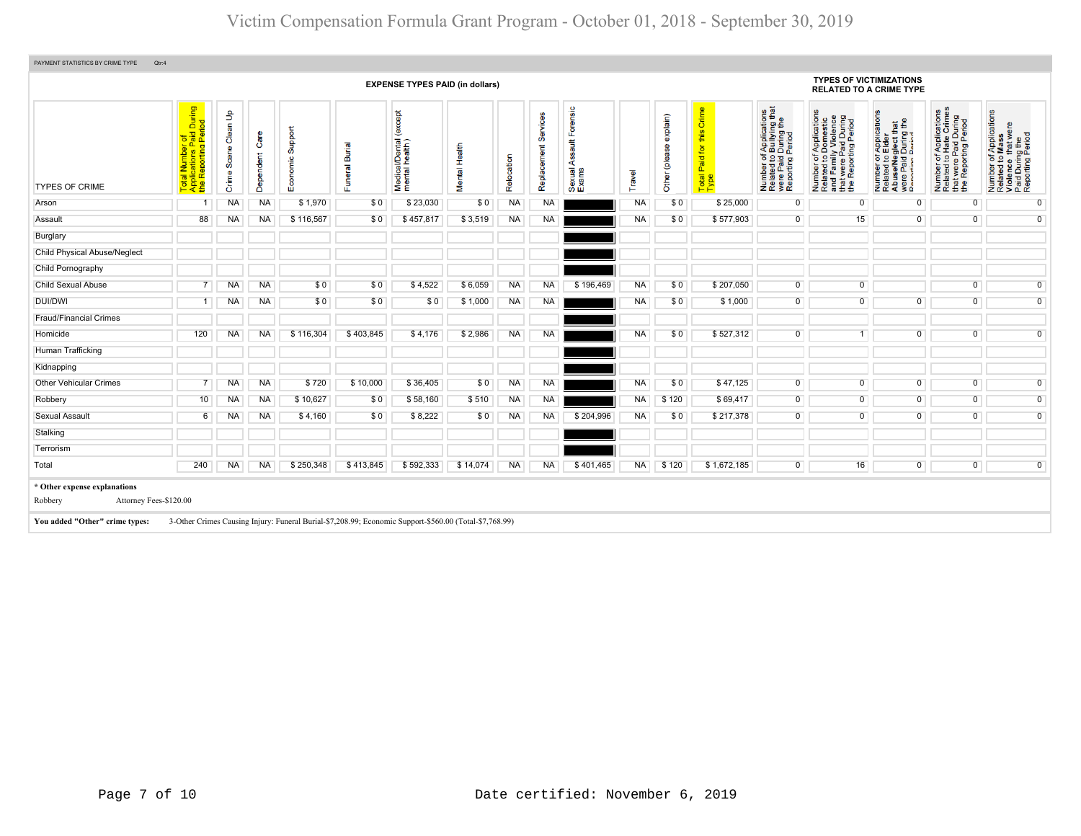|                                                                                                     | During<br>iod<br>$\overline{\mathbf{z}}$<br>al Number of<br>plications Paid<br>Reporting Peri | $\mathbf{e}$<br>Clean | ÖΦ             |                               |                          |                                                                                                        |               |            |                         |                                                                                                            |           |                           |                                            |                                                                                                                                        |                                                                                                                                                                         |                                                                                                                                                                                     |                                                                                                                      |                                                                                                        |  |  |  |  |  |  |
|-----------------------------------------------------------------------------------------------------|-----------------------------------------------------------------------------------------------|-----------------------|----------------|-------------------------------|--------------------------|--------------------------------------------------------------------------------------------------------|---------------|------------|-------------------------|------------------------------------------------------------------------------------------------------------|-----------|---------------------------|--------------------------------------------|----------------------------------------------------------------------------------------------------------------------------------------|-------------------------------------------------------------------------------------------------------------------------------------------------------------------------|-------------------------------------------------------------------------------------------------------------------------------------------------------------------------------------|----------------------------------------------------------------------------------------------------------------------|--------------------------------------------------------------------------------------------------------|--|--|--|--|--|--|
|                                                                                                     |                                                                                               |                       |                |                               |                          |                                                                                                        |               |            |                         | <b>TYPES OF VICTIMIZATIONS</b><br><b>EXPENSE TYPES PAID (in dollars)</b><br><b>RELATED TO A CRIME TYPE</b> |           |                           |                                            |                                                                                                                                        |                                                                                                                                                                         |                                                                                                                                                                                     |                                                                                                                      |                                                                                                        |  |  |  |  |  |  |
| <b>TYPES OF CRIME</b>                                                                               | ∥ੜੱਲ਼<br>Total<br>Applic<br>Le                                                                | ဨႍ<br>Scei<br>Crime   | Ö<br>Dependent | pport<br>ശ<br>homic<br>8<br>ш | Burial<br>eral<br>S<br>ш | except<br>Medical/Dental (<br>mental health)                                                           | Mental Health | Relocation | Services<br>Replacement | Forensic<br>$\frac{4}{3}$<br>⋖<br>Sexual<br>Exams                                                          | Travel    | explain)<br>Other (please | Crime<br>this<br>Paid for<br>Total<br>Type | f Applications<br>b Bullying that<br>I During the<br>Period<br>Number of <i>A</i><br>Related to <b>B</b><br>were Paid L<br>Reporting F | f Applications<br>Domestic<br>ly Violence<br>Paid During<br>rting Period<br>Number of A <sub>l</sub><br>Related to Do<br>and Family \<br>that were Pai<br>the Reporting | r Applications<br>Elder<br>that<br>g the<br>glect th<br>During<br>Period<br>per of<br>ed to I<br>Paid I<br>Paid I<br>fring F<br>Number<br>Related<br>AbuseM<br>Were Pai<br>Reportin | f Applications<br>Hate Crimes<br>tt were Paid During<br>Beporting Period<br>59<br>Number<br>Related<br>that<br>the F | Number of Applications<br>Related to Mass<br>Violence that were<br>Paid During the<br>Reporting Period |  |  |  |  |  |  |
| Arson                                                                                               |                                                                                               | NA                    | <b>NA</b>      | \$1,970                       | \$0                      | \$23,030                                                                                               | \$0           | <b>NA</b>  | <b>NA</b>               |                                                                                                            | <b>NA</b> | \$0                       | \$25,000                                   | $\overline{0}$                                                                                                                         | $\overline{0}$                                                                                                                                                          | $\mathbf{0}$                                                                                                                                                                        | $\overline{0}$                                                                                                       | $\overline{0}$                                                                                         |  |  |  |  |  |  |
| Assault                                                                                             | 88                                                                                            | NA                    | <b>NA</b>      | \$116,567                     | \$0                      | \$457,817                                                                                              | \$3,519       | <b>NA</b>  | <b>NA</b>               |                                                                                                            | <b>NA</b> | \$0                       | \$577,903                                  | $\overline{0}$                                                                                                                         | 15                                                                                                                                                                      | $\Omega$                                                                                                                                                                            | $\mathbf 0$                                                                                                          | $\overline{0}$                                                                                         |  |  |  |  |  |  |
| Burglary                                                                                            |                                                                                               |                       |                |                               |                          |                                                                                                        |               |            |                         |                                                                                                            |           |                           |                                            |                                                                                                                                        |                                                                                                                                                                         |                                                                                                                                                                                     |                                                                                                                      |                                                                                                        |  |  |  |  |  |  |
| <b>Child Physical Abuse/Neglect</b>                                                                 |                                                                                               |                       |                |                               |                          |                                                                                                        |               |            |                         |                                                                                                            |           |                           |                                            |                                                                                                                                        |                                                                                                                                                                         |                                                                                                                                                                                     |                                                                                                                      |                                                                                                        |  |  |  |  |  |  |
| Child Pornography                                                                                   |                                                                                               |                       |                |                               |                          |                                                                                                        |               |            |                         |                                                                                                            |           |                           |                                            |                                                                                                                                        |                                                                                                                                                                         |                                                                                                                                                                                     |                                                                                                                      |                                                                                                        |  |  |  |  |  |  |
| <b>Child Sexual Abuse</b>                                                                           |                                                                                               | NA                    | <b>NA</b>      | \$0                           | \$0                      | \$4.522                                                                                                | \$6.059       | <b>NA</b>  | <b>NA</b>               | \$196,469                                                                                                  | <b>NA</b> | \$0                       | \$207.050                                  | $\overline{0}$                                                                                                                         | $\overline{0}$                                                                                                                                                          |                                                                                                                                                                                     | $\overline{0}$                                                                                                       | $\overline{0}$                                                                                         |  |  |  |  |  |  |
| <b>DUI/DWI</b>                                                                                      | 1                                                                                             | NA                    | <b>NA</b>      | \$0                           | \$0                      | \$0                                                                                                    | \$1,000       | <b>NA</b>  | <b>NA</b>               |                                                                                                            | <b>NA</b> | \$0                       | \$1,000                                    | $\overline{0}$                                                                                                                         | $\overline{0}$                                                                                                                                                          | $\overline{0}$                                                                                                                                                                      | $\overline{0}$                                                                                                       | $\overline{0}$                                                                                         |  |  |  |  |  |  |
| <b>Fraud/Financial Crimes</b>                                                                       |                                                                                               |                       |                |                               |                          |                                                                                                        |               |            |                         |                                                                                                            |           |                           |                                            |                                                                                                                                        |                                                                                                                                                                         |                                                                                                                                                                                     |                                                                                                                      |                                                                                                        |  |  |  |  |  |  |
| Homicide                                                                                            | 120                                                                                           | NA                    | <b>NA</b>      | \$116,304                     | \$403,845                | \$4,176                                                                                                | \$2,986       | <b>NA</b>  | <b>NA</b>               |                                                                                                            | <b>NA</b> | \$0                       | \$527,312                                  | $\overline{0}$                                                                                                                         | 1                                                                                                                                                                       | $\overline{0}$                                                                                                                                                                      | $\mathbf 0$                                                                                                          | $\overline{0}$                                                                                         |  |  |  |  |  |  |
| Human Trafficking                                                                                   |                                                                                               |                       |                |                               |                          |                                                                                                        |               |            |                         |                                                                                                            |           |                           |                                            |                                                                                                                                        |                                                                                                                                                                         |                                                                                                                                                                                     |                                                                                                                      |                                                                                                        |  |  |  |  |  |  |
| Kidnapping                                                                                          |                                                                                               |                       |                |                               |                          |                                                                                                        |               |            |                         |                                                                                                            |           |                           |                                            |                                                                                                                                        |                                                                                                                                                                         |                                                                                                                                                                                     |                                                                                                                      |                                                                                                        |  |  |  |  |  |  |
| <b>Other Vehicular Crimes</b>                                                                       |                                                                                               | <b>NA</b>             | <b>NA</b>      | \$720                         | \$10,000                 | \$36,405                                                                                               | \$0           | <b>NA</b>  | <b>NA</b>               |                                                                                                            | <b>NA</b> | \$0                       | \$47,125                                   | $\overline{0}$                                                                                                                         | $\overline{0}$                                                                                                                                                          | $\overline{0}$                                                                                                                                                                      | $\overline{0}$                                                                                                       | $\overline{0}$                                                                                         |  |  |  |  |  |  |
| Robbery                                                                                             | 10                                                                                            | NA                    | <b>NA</b>      | \$10,627                      | \$0                      | \$58,160                                                                                               | \$510         | <b>NA</b>  | <b>NA</b>               |                                                                                                            | <b>NA</b> | \$120                     | \$69,417                                   | $\overline{0}$                                                                                                                         | $\overline{0}$                                                                                                                                                          | $\overline{0}$                                                                                                                                                                      | $\mathsf{O}\xspace$                                                                                                  | $\overline{0}$                                                                                         |  |  |  |  |  |  |
| <b>Sexual Assault</b>                                                                               | 6                                                                                             | NA                    | <b>NA</b>      | \$4,160                       | \$0                      | \$8,222                                                                                                | \$0           | <b>NA</b>  | <b>NA</b>               | \$204,996                                                                                                  | <b>NA</b> | \$0                       | \$217,378                                  | $\overline{0}$                                                                                                                         | $\overline{0}$                                                                                                                                                          | $\overline{0}$                                                                                                                                                                      | $\mathbf 0$                                                                                                          | $\overline{0}$                                                                                         |  |  |  |  |  |  |
| Stalking                                                                                            |                                                                                               |                       |                |                               |                          |                                                                                                        |               |            |                         |                                                                                                            |           |                           |                                            |                                                                                                                                        |                                                                                                                                                                         |                                                                                                                                                                                     |                                                                                                                      |                                                                                                        |  |  |  |  |  |  |
| Terrorism                                                                                           |                                                                                               |                       |                |                               |                          |                                                                                                        |               |            |                         |                                                                                                            |           |                           |                                            |                                                                                                                                        |                                                                                                                                                                         |                                                                                                                                                                                     |                                                                                                                      |                                                                                                        |  |  |  |  |  |  |
| Total                                                                                               | 240                                                                                           | <b>NA</b>             | <b>NA</b>      | \$250,348                     | \$413,845                | \$592,333                                                                                              | \$14,074      | <b>NA</b>  | <b>NA</b>               | \$401,465                                                                                                  | <b>NA</b> | \$120                     | \$1,672,185                                | $\overline{0}$                                                                                                                         | 16                                                                                                                                                                      | $\overline{0}$                                                                                                                                                                      | $\overline{0}$                                                                                                       | $\overline{0}$                                                                                         |  |  |  |  |  |  |
| * Other expense explanations<br>Attorney Fees-\$120.00<br>Robbery<br>You added "Other" crime types: |                                                                                               |                       |                |                               |                          | 3-Other Crimes Causing Injury: Funeral Burial-\$7,208.99; Economic Support-\$560.00 (Total-\$7,768.99) |               |            |                         |                                                                                                            |           |                           |                                            |                                                                                                                                        |                                                                                                                                                                         |                                                                                                                                                                                     |                                                                                                                      |                                                                                                        |  |  |  |  |  |  |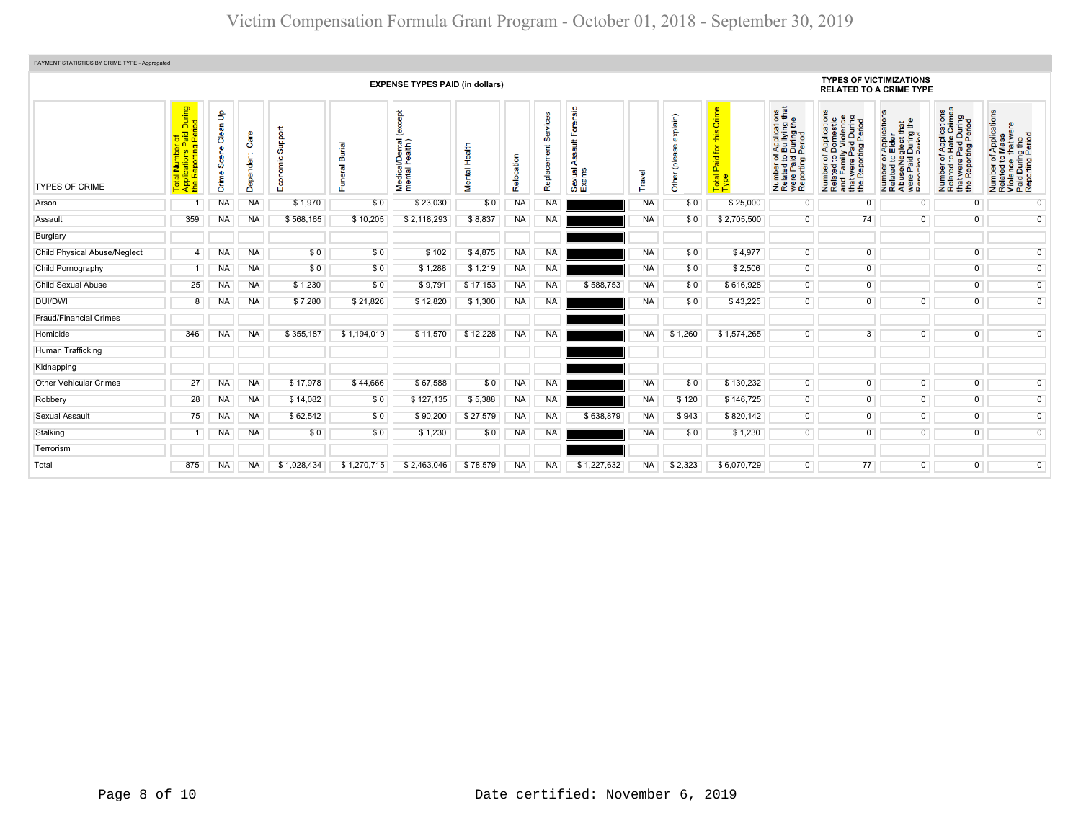| PAYMENT STATISTICS BY CRIME TYPE - Aggregated |                                                                                              |                               |                           |                |                               |                                            |                         |                |                                    |                          |           |                            |                                                                   |                                                                                                                       |                                                                                                                                                                                        |                                                                                                                                       |                                                                                                                                            |                                                                                                        |
|-----------------------------------------------|----------------------------------------------------------------------------------------------|-------------------------------|---------------------------|----------------|-------------------------------|--------------------------------------------|-------------------------|----------------|------------------------------------|--------------------------|-----------|----------------------------|-------------------------------------------------------------------|-----------------------------------------------------------------------------------------------------------------------|----------------------------------------------------------------------------------------------------------------------------------------------------------------------------------------|---------------------------------------------------------------------------------------------------------------------------------------|--------------------------------------------------------------------------------------------------------------------------------------------|--------------------------------------------------------------------------------------------------------|
|                                               | <b>EXPENSE TYPES PAID (in dollars)</b>                                                       |                               |                           |                |                               |                                            |                         |                |                                    |                          |           |                            |                                                                   | <b>TYPES OF VICTIMIZATIONS</b><br><b>RELATED TO A CRIME TYPE</b>                                                      |                                                                                                                                                                                        |                                                                                                                                       |                                                                                                                                            |                                                                                                        |
| <b>TYPES OF CRIME</b>                         | During<br>iod<br>$\overline{\sigma}$<br>$\mathbf{a}$<br>$\Box$<br>epot<br>œ<br><u> ಕೆ ಕಿ</u> | နှ<br>Clean<br>Scene<br>Crime | Care<br>indent<br>ይ<br>൧ഀ | ppor<br>ശ<br>ш | ã<br>$\overline{\sigma}$<br>ū | except<br>Medical/Dental<br>mental health) | Health<br><b>Mental</b> | cation<br>Relo | <b>NICes</b><br>တ္တ<br>Replacement | ensic<br>Sexual<br>Exams | Travel    | explain)<br>eeld)<br>Other | Crime<br>this<br>$\overline{\mathbf{r}}$<br>Paid<br>Total<br>Type | f Applications<br>b Bullying that<br>I During the<br>Period<br>Number of,<br>Related to I<br>were Paid<br>Reporting F | <b>ons</b><br>' Family Violence<br>t were Paid During<br>Reporting Period<br>'Application<br>Domestic<br>y Violence<br>59<br>twere<br>Repor<br>Number<br>Related<br>and<br>that<br>the | r Application:<br>Elder<br>₽<br>glect th<br>During<br>Pariod<br>59<br>e/Ne<br>Number<br>Related t<br>Abuse/N<br>were Pai<br>Reporting | f Applications<br>Hate Crimes<br>During<br>Period<br>a.<br>e Paid<br>orting F<br>59<br>rwere<br>Repor<br>Number<br>Related<br>the <b>F</b> | Number of Applications<br>Related to Mass<br>Violence that were<br>Paid During the<br>Reporting Period |
| Arson                                         |                                                                                              | <b>NA</b>                     | <b>NA</b>                 | \$1,970        | \$0                           | \$23,030                                   | \$0                     | <b>NA</b>      | <b>NA</b>                          |                          | <b>NA</b> | \$0                        | \$25,000                                                          | $\Omega$                                                                                                              | $\mathbf 0$                                                                                                                                                                            | $\mathbf 0$                                                                                                                           | $\Omega$                                                                                                                                   | $\overline{0}$                                                                                         |
| Assault                                       | 359                                                                                          | <b>NA</b>                     | <b>NA</b>                 | \$568,165      | \$10,205                      | \$2,118,293                                | \$8,837                 | NA             | <b>NA</b>                          |                          | <b>NA</b> | \$0                        | \$2,705,500                                                       | $\overline{0}$                                                                                                        | 74                                                                                                                                                                                     | $\Omega$                                                                                                                              | $\Omega$                                                                                                                                   | $\overline{0}$                                                                                         |
| Burglary                                      |                                                                                              |                               |                           |                |                               |                                            |                         |                |                                    |                          |           |                            |                                                                   |                                                                                                                       |                                                                                                                                                                                        |                                                                                                                                       |                                                                                                                                            |                                                                                                        |
| <b>Child Physical Abuse/Neglect</b>           | 4                                                                                            | <b>NA</b>                     | <b>NA</b>                 | \$0            | \$0                           | \$102                                      | \$4,875                 | NA             | <b>NA</b>                          |                          | <b>NA</b> | \$0                        | \$4,977                                                           | $\overline{0}$                                                                                                        | $\overline{0}$                                                                                                                                                                         |                                                                                                                                       | $\overline{0}$                                                                                                                             | $\overline{0}$                                                                                         |
| Child Pornography                             | -1                                                                                           | <b>NA</b>                     | <b>NA</b>                 | \$0            | \$0                           | \$1,288                                    | \$1,219                 | NA             | NA                                 |                          | <b>NA</b> | \$0                        | \$2,506                                                           | $\overline{0}$                                                                                                        | $\overline{0}$                                                                                                                                                                         |                                                                                                                                       | $\overline{0}$                                                                                                                             | $\overline{0}$                                                                                         |
| <b>Child Sexual Abuse</b>                     | 25                                                                                           | <b>NA</b>                     | <b>NA</b>                 | \$1,230        | \$0                           | \$9,791                                    | \$17,153                | <b>NA</b>      | NA                                 | \$588,753                | <b>NA</b> | \$0                        | \$616,928                                                         | $\overline{0}$                                                                                                        | $\overline{0}$                                                                                                                                                                         |                                                                                                                                       | $\overline{0}$                                                                                                                             | $\overline{0}$                                                                                         |
| DUI/DWI                                       | 8                                                                                            | NA                            | <b>NA</b>                 | \$7,280        | \$21,826                      | \$12,820                                   | \$1,300                 | NA             | <b>NA</b>                          |                          | <b>NA</b> | \$0                        | \$43,225                                                          | $\overline{0}$                                                                                                        | $\overline{0}$                                                                                                                                                                         | $\overline{0}$                                                                                                                        | $\overline{0}$                                                                                                                             | $\overline{0}$                                                                                         |
| <b>Fraud/Financial Crimes</b>                 |                                                                                              |                               |                           |                |                               |                                            |                         |                |                                    |                          |           |                            |                                                                   |                                                                                                                       |                                                                                                                                                                                        |                                                                                                                                       |                                                                                                                                            |                                                                                                        |
| Homicide                                      | 346                                                                                          | NA.                           | <b>NA</b>                 | \$355,187      | \$1,194,019                   | \$11,570                                   | \$12,228                | NA             | <b>NA</b>                          |                          | <b>NA</b> | \$1,260                    | \$1,574,265                                                       | $\mathbf{0}$                                                                                                          | $\overline{3}$                                                                                                                                                                         | 0                                                                                                                                     | $\overline{0}$                                                                                                                             | $\mathbf{0}$                                                                                           |
| Human Trafficking                             |                                                                                              |                               |                           |                |                               |                                            |                         |                |                                    |                          |           |                            |                                                                   |                                                                                                                       |                                                                                                                                                                                        |                                                                                                                                       |                                                                                                                                            |                                                                                                        |
| Kidnapping                                    |                                                                                              |                               |                           |                |                               |                                            |                         |                |                                    |                          |           |                            |                                                                   |                                                                                                                       |                                                                                                                                                                                        |                                                                                                                                       |                                                                                                                                            |                                                                                                        |
| <b>Other Vehicular Crimes</b>                 | 27                                                                                           | <b>NA</b>                     | <b>NA</b>                 | \$17,978       | \$44,666                      | \$67,588                                   | \$0                     | <b>NA</b>      | <b>NA</b>                          |                          | <b>NA</b> | \$0                        | \$130,232                                                         | $\overline{0}$                                                                                                        | $\overline{0}$                                                                                                                                                                         | $\overline{0}$                                                                                                                        | $\overline{0}$                                                                                                                             | $\overline{0}$                                                                                         |
| Robbery                                       | 28                                                                                           | <b>NA</b>                     | <b>NA</b>                 | \$14,082       | \$0                           | \$127,135                                  | \$5,388                 | <b>NA</b>      | <b>NA</b>                          |                          | <b>NA</b> | \$120                      | \$146,725                                                         | $\overline{0}$                                                                                                        | $\overline{0}$                                                                                                                                                                         | $\overline{0}$                                                                                                                        | $\overline{0}$                                                                                                                             | $\overline{0}$                                                                                         |
| <b>Sexual Assault</b>                         | 75                                                                                           | <b>NA</b>                     | <b>NA</b>                 | \$62,542       | \$0                           | \$90,200                                   | \$27,579                | <b>NA</b>      | <b>NA</b>                          | \$638,879                | <b>NA</b> | \$943                      | \$820,142                                                         | $\overline{0}$                                                                                                        | $\overline{0}$                                                                                                                                                                         | $\overline{0}$                                                                                                                        | $\overline{0}$                                                                                                                             | $\overline{0}$                                                                                         |
| Stalking                                      |                                                                                              | NA                            | <b>NA</b>                 | \$0            | \$0                           | \$1,230                                    | \$0                     | NA             | NA                                 |                          | <b>NA</b> | \$0                        | \$1,230                                                           | $\overline{0}$                                                                                                        | $\mathbf 0$                                                                                                                                                                            | $\overline{0}$                                                                                                                        | $\overline{0}$                                                                                                                             | $\overline{0}$                                                                                         |
| Terrorism                                     |                                                                                              |                               |                           |                |                               |                                            |                         |                |                                    |                          |           |                            |                                                                   |                                                                                                                       |                                                                                                                                                                                        |                                                                                                                                       |                                                                                                                                            |                                                                                                        |
| Total                                         | 875                                                                                          | NA.                           | <b>NA</b>                 | \$1,028,434    | \$1,270,715                   | \$2,463,046                                | \$78,579                | <b>NA</b>      | <b>NA</b>                          | \$1,227,632              | <b>NA</b> | \$2,323                    | \$6,070,729                                                       | $\overline{0}$                                                                                                        | 77                                                                                                                                                                                     | $\overline{0}$                                                                                                                        | $\overline{0}$                                                                                                                             | $\overline{0}$                                                                                         |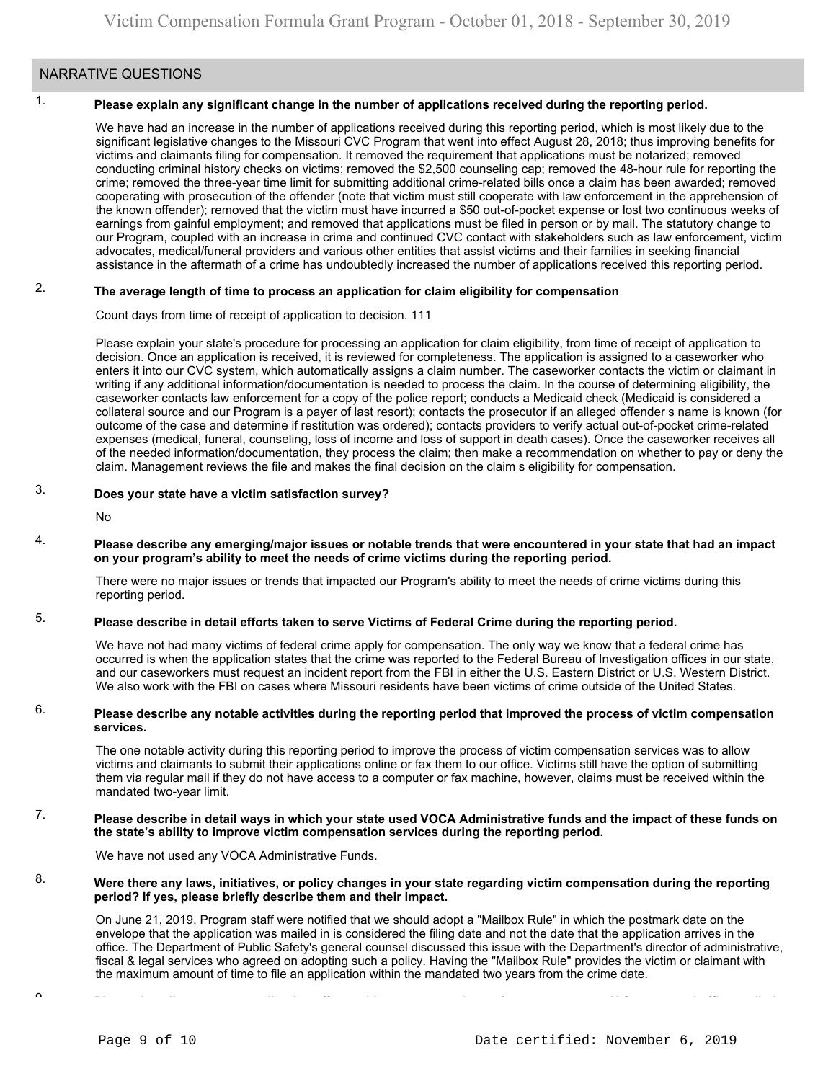### NARRATIVE QUESTIONS

#### 1. **Please explain any significant change in the number of applications received during the reporting period.**

We have had an increase in the number of applications received during this reporting period, which is most likely due to the significant legislative changes to the Missouri CVC Program that went into effect August 28, 2018; thus improving benefits for victims and claimants filing for compensation. It removed the requirement that applications must be notarized; removed conducting criminal history checks on victims; removed the \$2,500 counseling cap; removed the 48-hour rule for reporting the crime; removed the three-year time limit for submitting additional crime-related bills once a claim has been awarded; removed cooperating with prosecution of the offender (note that victim must still cooperate with law enforcement in the apprehension of the known offender); removed that the victim must have incurred a \$50 out-of-pocket expense or lost two continuous weeks of earnings from gainful employment; and removed that applications must be filed in person or by mail. The statutory change to our Program, coupled with an increase in crime and continued CVC contact with stakeholders such as law enforcement, victim advocates, medical/funeral providers and various other entities that assist victims and their families in seeking financial assistance in the aftermath of a crime has undoubtedly increased the number of applications received this reporting period.

#### 2. **The average length of time to process an application for claim eligibility for compensation**

Count days from time of receipt of application to decision. 111

Please explain your state's procedure for processing an application for claim eligibility, from time of receipt of application to decision. Once an application is received, it is reviewed for completeness. The application is assigned to a caseworker who enters it into our CVC system, which automatically assigns a claim number. The caseworker contacts the victim or claimant in writing if any additional information/documentation is needed to process the claim. In the course of determining eligibility, the caseworker contacts law enforcement for a copy of the police report; conducts a Medicaid check (Medicaid is considered a collateral source and our Program is a payer of last resort); contacts the prosecutor if an alleged offender s name is known (for outcome of the case and determine if restitution was ordered); contacts providers to verify actual out-of-pocket crime-related expenses (medical, funeral, counseling, loss of income and loss of support in death cases). Once the caseworker receives all of the needed information/documentation, they process the claim; then make a recommendation on whether to pay or deny the claim. Management reviews the file and makes the final decision on the claim s eligibility for compensation.

#### 3. **Does your state have a victim satisfaction survey?**

No

4. **Please describe any emerging/major issues or notable trends that were encountered in your state that had an impact on your program's ability to meet the needs of crime victims during the reporting period.**

There were no major issues or trends that impacted our Program's ability to meet the needs of crime victims during this reporting period.

#### 5. **Please describe in detail efforts taken to serve Victims of Federal Crime during the reporting period.**

We have not had many victims of federal crime apply for compensation. The only way we know that a federal crime has occurred is when the application states that the crime was reported to the Federal Bureau of Investigation offices in our state, and our caseworkers must request an incident report from the FBI in either the U.S. Eastern District or U.S. Western District. We also work with the FBI on cases where Missouri residents have been victims of crime outside of the United States.

#### 6. **Please describe any notable activities during the reporting period that improved the process of victim compensation services.**

The one notable activity during this reporting period to improve the process of victim compensation services was to allow victims and claimants to submit their applications online or fax them to our office. Victims still have the option of submitting them via regular mail if they do not have access to a computer or fax machine, however, claims must be received within the mandated two-year limit.

#### 7. **Please describe in detail ways in which your state used VOCA Administrative funds and the impact of these funds on the state's ability to improve victim compensation services during the reporting period.**

We have not used any VOCA Administrative Funds.

#### 8. **Were there any laws, initiatives, or policy changes in your state regarding victim compensation during the reporting period? If yes, please briefly describe them and their impact.**

On June 21, 2019, Program staff were notified that we should adopt a "Mailbox Rule" in which the postmark date on the envelope that the application was mailed in is considered the filing date and not the date that the application arrives in the office. The Department of Public Safety's general counsel discussed this issue with the Department's director of administrative, fiscal & legal services who agreed on adopting such a policy. Having the "Mailbox Rule" provides the victim or claimant with the maximum amount of time to file an application within the mandated two years from the crime date.

 $\sim$